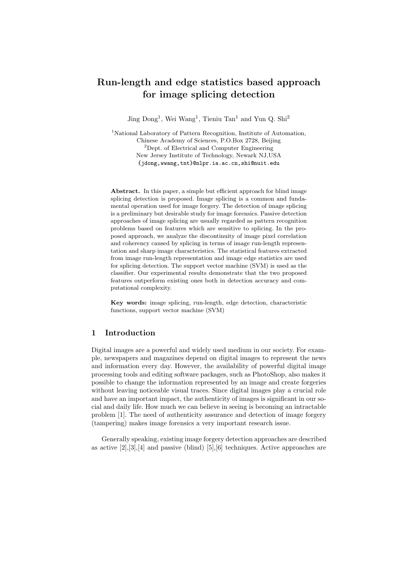# Run-length and edge statistics based approach for image splicing detection

Jing Dong<sup>1</sup>, Wei Wang<sup>1</sup>, Tieniu Tan<sup>1</sup> and Yun Q. Shi<sup>2</sup>

<sup>1</sup>National Laboratory of Pattern Recognition, Institute of Automation, Chinese Academy of Sciences, P.O.Box 2728, Beijing <sup>2</sup>Dept. of Electrical and Computer Engineering New Jersey Institute of Technology, Newark NJ,USA {jdong,wwang,tnt}@nlpr.ia.ac.cn,shi@nuit.edu

Abstract. In this paper, a simple but efficient approach for blind image splicing detection is proposed. Image splicing is a common and fundamental operation used for image forgery. The detection of image splicing is a preliminary but desirable study for image forensics. Passive detection approaches of image splicing are usually regarded as pattern recognition problems based on features which are sensitive to splicing. In the proposed approach, we analyze the discontinuity of image pixel correlation and coherency caused by splicing in terms of image run-length representation and sharp image characteristics. The statistical features extracted from image run-length representation and image edge statistics are used for splicing detection. The support vector machine (SVM) is used as the classifier. Our experimental results demonstrate that the two proposed features outperform existing ones both in detection accuracy and computational complexity.

Key words: image splicing, run-length, edge detection, characteristic functions, support vector machine (SVM)

## 1 Introduction

Digital images are a powerful and widely used medium in our society. For example, newspapers and magazines depend on digital images to represent the news and information every day. However, the availability of powerful digital image processing tools and editing software packages, such as PhotoShop, also makes it possible to change the information represented by an image and create forgeries without leaving noticeable visual traces. Since digital images play a crucial role and have an important impact, the authenticity of images is significant in our social and daily life. How much we can believe in seeing is becoming an intractable problem [1]. The need of authenticity assurance and detection of image forgery (tampering) makes image forensics a very important research issue.

Generally speaking, existing image forgery detection approaches are described as active [2],[3],[4] and passive (blind) [5],[6] techniques. Active approaches are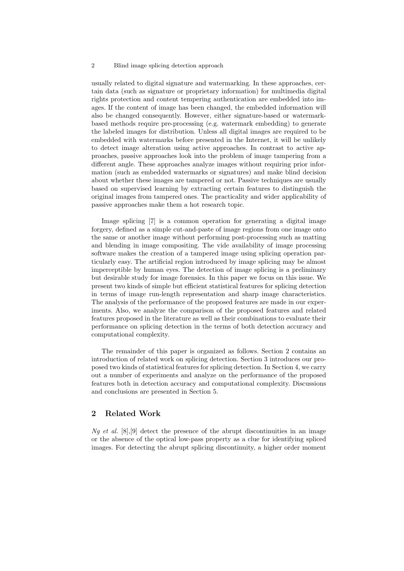usually related to digital signature and watermarking. In these approaches, certain data (such as signature or proprietary information) for multimedia digital rights protection and content tempering authentication are embedded into images. If the content of image has been changed, the embedded information will also be changed consequently. However, either signature-based or watermarkbased methods require pre-processing (e.g. watermark embedding) to generate the labeled images for distribution. Unless all digital images are required to be embedded with watermarks before presented in the Internet, it will be unlikely to detect image alteration using active approaches. In contrast to active approaches, passive approaches look into the problem of image tampering from a different angle. These approaches analyze images without requiring prior information (such as embedded watermarks or signatures) and make blind decision about whether these images are tampered or not. Passive techniques are usually based on supervised learning by extracting certain features to distinguish the original images from tampered ones. The practicality and wider applicability of passive approaches make them a hot research topic.

Image splicing [7] is a common operation for generating a digital image forgery, defined as a simple cut-and-paste of image regions from one image onto the same or another image without performing post-processing such as matting and blending in image compositing. The vide availability of image processing software makes the creation of a tampered image using splicing operation particularly easy. The artificial region introduced by image splicing may be almost imperceptible by human eyes. The detection of image splicing is a preliminary but desirable study for image forensics. In this paper we focus on this issue. We present two kinds of simple but efficient statistical features for splicing detection in terms of image run-length representation and sharp image characteristics. The analysis of the performance of the proposed features are made in our experiments. Also, we analyze the comparison of the proposed features and related features proposed in the literature as well as their combinations to evaluate their performance on splicing detection in the terms of both detection accuracy and computational complexity.

The remainder of this paper is organized as follows. Section 2 contains an introduction of related work on splicing detection. Section 3 introduces our proposed two kinds of statistical features for splicing detection. In Section 4, we carry out a number of experiments and analyze on the performance of the proposed features both in detection accuracy and computational complexity. Discussions and conclusions are presented in Section 5.

# 2 Related Work

 $Ng$  et al. [8], [9] detect the presence of the abrupt discontinuities in an image or the absence of the optical low-pass property as a clue for identifying spliced images. For detecting the abrupt splicing discontinuity, a higher order moment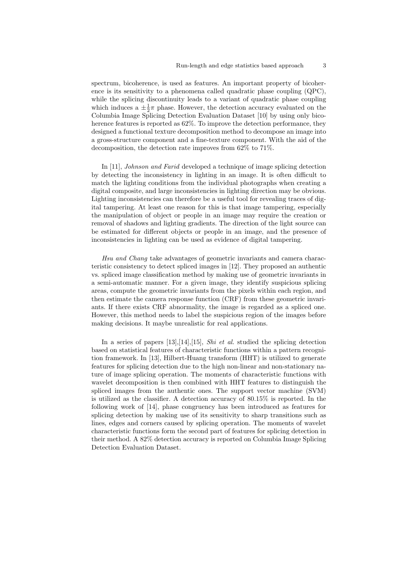spectrum, bicoherence, is used as features. An important property of bicoherence is its sensitivity to a phenomena called quadratic phase coupling (QPC), while the splicing discontinuity leads to a variant of quadratic phase coupling which induces a  $\pm \frac{1}{2}\pi$  phase. However, the detection accuracy evaluated on the Columbia Image Splicing Detection Evaluation Dataset [10] by using only bicoherence features is reported as 62%. To improve the detection performance, they designed a functional texture decomposition method to decompose an image into a gross-structure component and a fine-texture component. With the aid of the decomposition, the detection rate improves from 62% to 71%.

In [11], *Johnson and Farid* developed a technique of image splicing detection by detecting the inconsistency in lighting in an image. It is often difficult to match the lighting conditions from the individual photographs when creating a digital composite, and large inconsistencies in lighting direction may be obvious. Lighting inconsistencies can therefore be a useful tool for revealing traces of digital tampering. At least one reason for this is that image tampering, especially the manipulation of object or people in an image may require the creation or removal of shadows and lighting gradients. The direction of the light source can be estimated for different objects or people in an image, and the presence of inconsistencies in lighting can be used as evidence of digital tampering.

Hsu and Chang take advantages of geometric invariants and camera characteristic consistency to detect spliced images in [12]. They proposed an authentic vs. spliced image classification method by making use of geometric invariants in a semi-automatic manner. For a given image, they identify suspicious splicing areas, compute the geometric invariants from the pixels within each region, and then estimate the camera response function (CRF) from these geometric invariants. If there exists CRF abnormality, the image is regarded as a spliced one. However, this method needs to label the suspicious region of the images before making decisions. It maybe unrealistic for real applications.

In a series of papers [13],[14],[15], Shi et al. studied the splicing detection based on statistical features of characteristic functions within a pattern recognition framework. In [13], Hilbert-Huang transform (HHT) is utilized to generate features for splicing detection due to the high non-linear and non-stationary nature of image splicing operation. The moments of characteristic functions with wavelet decomposition is then combined with HHT features to distinguish the spliced images from the authentic ones. The support vector machine (SVM) is utilized as the classifier. A detection accuracy of 80.15% is reported. In the following work of [14], phase congruency has been introduced as features for splicing detection by making use of its sensitivity to sharp transitions such as lines, edges and corners caused by splicing operation. The moments of wavelet characteristic functions form the second part of features for splicing detection in their method. A 82% detection accuracy is reported on Columbia Image Splicing Detection Evaluation Dataset.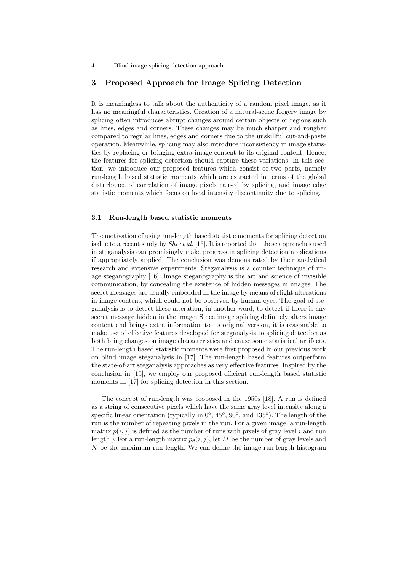# 3 Proposed Approach for Image Splicing Detection

It is meaningless to talk about the authenticity of a random pixel image, as it has no meaningful characteristics. Creation of a natural-scene forgery image by splicing often introduces abrupt changes around certain objects or regions such as lines, edges and corners. These changes may be much sharper and rougher compared to regular lines, edges and corners due to the unskillful cut-and-paste operation. Meanwhile, splicing may also introduce inconsistency in image statistics by replacing or bringing extra image content to its original content. Hence, the features for splicing detection should capture these variations. In this section, we introduce our proposed features which consist of two parts, namely run-length based statistic moments which are extracted in terms of the global disturbance of correlation of image pixels caused by splicing, and image edge statistic moments which focus on local intensity discontinuity due to splicing.

#### 3.1 Run-length based statistic moments

The motivation of using run-length based statistic moments for splicing detection is due to a recent study by *Shi et al.* [15]. It is reported that these approaches used in steganalysis can promisingly make progress in splicing detection applications if appropriately applied. The conclusion was demonstrated by their analytical research and extensive experiments. Steganalysis is a counter technique of image steganography [16]. Image steganography is the art and science of invisible communication, by concealing the existence of hidden messages in images. The secret messages are usually embedded in the image by means of slight alterations in image content, which could not be observed by human eyes. The goal of steganalysis is to detect these alteration, in another word, to detect if there is any secret message hidden in the image. Since image splicing definitely alters image content and brings extra information to its original version, it is reasonable to make use of effective features developed for steganalysis to splicing detection as both bring changes on image characteristics and cause some statistical artifacts. The run-length based statistic moments were first proposed in our previous work on blind image steganalysis in [17]. The run-length based features outperform the state-of-art steganalysis approaches as very effective features. Inspired by the conclusion in [15], we employ our proposed efficient run-length based statistic moments in [17] for splicing detection in this section.

The concept of run-length was proposed in the 1950s [18]. A run is defined as a string of consecutive pixels which have the same gray level intensity along a specific linear orientation (typically in  $0^\circ$ ,  $45^\circ$ ,  $90^\circ$ , and  $135^\circ$ ). The length of the run is the number of repeating pixels in the run. For a given image, a run-length matrix  $p(i, j)$  is defined as the number of runs with pixels of gray level i and run length j. For a run-length matrix  $p_{\theta}(i, j)$ , let M be the number of gray levels and N be the maximum run length. We can define the image run-length histogram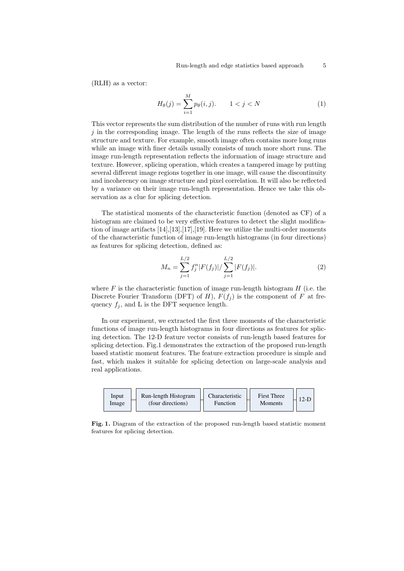(RLH) as a vector:

$$
H_{\theta}(j) = \sum_{i=1}^{M} p_{\theta}(i, j). \qquad 1 < j < N \tag{1}
$$

This vector represents the sum distribution of the number of runs with run length  $j$  in the corresponding image. The length of the runs reflects the size of image structure and texture. For example, smooth image often contains more long runs while an image with finer details usually consists of much more short runs. The image run-length representation reflects the information of image structure and texture. However, splicing operation, which creates a tampered image by putting several different image regions together in one image, will cause the discontinuity and incoherency on image structure and pixel correlation. It will also be reflected by a variance on their image run-length representation. Hence we take this observation as a clue for splicing detection.

The statistical moments of the characteristic function (denoted as CF) of a histogram are claimed to be very effective features to detect the slight modification of image artifacts [14],[13],[17],[19]. Here we utilize the multi-order moments of the characteristic function of image run-length histograms (in four directions) as features for splicing detection, defined as:

$$
M_n = \sum_{j=1}^{L/2} f_j^n |F(f_j)| / \sum_{j=1}^{L/2} |F(f_j)|.
$$
 (2)

where  $F$  is the characteristic function of image run-length histogram  $H$  (i.e. the Discrete Fourier Transform (DFT) of H),  $F(f_i)$  is the component of F at frequency  $f_j$ , and L is the DFT sequence length.

In our experiment, we extracted the first three moments of the characteristic functions of image run-length histograms in four directions as features for splicing detection. The 12-D feature vector consists of run-length based features for splicing detection. Fig.1 demonstrates the extraction of the proposed run-length based statistic moment features. The feature extraction procedure is simple and fast, which makes it suitable for splicing detection on large-scale analysis and real applications.



Fig. 1. Diagram of the extraction of the proposed run-length based statistic moment features for splicing detection.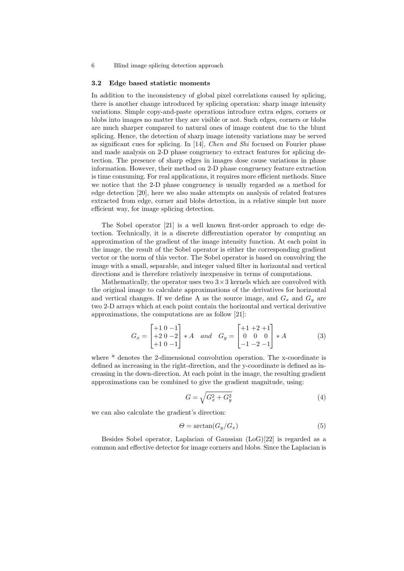#### 3.2 Edge based statistic moments

In addition to the inconsistency of global pixel correlations caused by splicing, there is another change introduced by splicing operation: sharp image intensity variations. Simple copy-and-paste operations introduce extra edges, corners or blobs into images no matter they are visible or not. Such edges, corners or blobs are much sharper compared to natural ones of image content due to the blunt splicing. Hence, the detection of sharp image intensity variations may be served as significant cues for splicing. In [14], Chen and Shi focused on Fourier phase and made analysis on 2-D phase congruency to extract features for splicing detection. The presence of sharp edges in images dose cause variations in phase information. However, their method on 2-D phase congruency feature extraction is time consuming. For real applications, it requires more efficient methods. Since we notice that the 2-D phase congruency is usually regarded as a method for edge detection [20], here we also make attempts on analysis of related features extracted from edge, corner and blobs detection, in a relative simple but more efficient way, for image splicing detection.

The Sobel operator [21] is a well known first-order approach to edge detection. Technically, it is a discrete differentiation operator by computing an approximation of the gradient of the image intensity function. At each point in the image, the result of the Sobel operator is either the corresponding gradient vector or the norm of this vector. The Sobel operator is based on convolving the image with a small, separable, and integer valued filter in horizontal and vertical directions and is therefore relatively inexpensive in terms of computations.

Mathematically, the operator uses two  $3 \times 3$  kernels which are convolved with the original image to calculate approximations of the derivatives for horizontal and vertical changes. If we define A as the source image, and  $G_x$  and  $G_y$  are two 2-D arrays which at each point contain the horizontal and vertical derivative approximations, the computations are as follow [21]:

$$
G_x = \begin{bmatrix} +1 & 0 & -1 \\ +2 & 0 & -2 \\ +1 & 0 & -1 \end{bmatrix} * A \quad and \quad G_y = \begin{bmatrix} +1 & +2 & +1 \\ 0 & 0 & 0 \\ -1 & -2 & -1 \end{bmatrix} * A \tag{3}
$$

where  $*$  denotes the 2-dimensional convolution operation. The x-coordinate is defined as increasing in the right-direction, and the y-coordinate is defined as increasing in the down-direction. At each point in the image, the resulting gradient approximations can be combined to give the gradient magnitude, using:

$$
G = \sqrt{G_x^2 + G_y^2} \tag{4}
$$

we can also calculate the gradient's direction:

$$
\Theta = \arctan(G_y/G_x) \tag{5}
$$

Besides Sobel operator, Laplacian of Gaussian (LoG)[22] is regarded as a common and effective detector for image corners and blobs. Since the Laplacian is

<sup>6</sup> Blind image splicing detection approach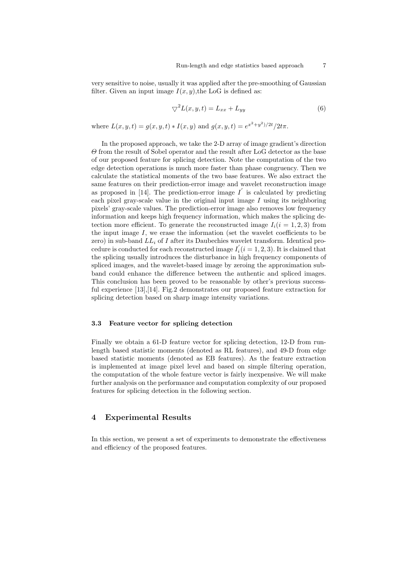very sensitive to noise, usually it was applied after the pre-smoothing of Gaussian filter. Given an input image  $I(x, y)$ , the LoG is defined as:

$$
\nabla^2 L(x, y, t) = L_{xx} + L_{yy} \tag{6}
$$

where  $L(x, y, t) = g(x, y, t) * I(x, y)$  and  $g(x, y, t) = e^{x^2 + y^2)/2t} / 2t\pi$ .

In the proposed approach, we take the 2-D array of image gradient's direction Θ from the result of Sobel operator and the result after LoG detector as the base of our proposed feature for splicing detection. Note the computation of the two edge detection operations is much more faster than phase congruency. Then we calculate the statistical moments of the two base features. We also extract the same features on their prediction-error image and wavelet reconstruction image as proposed in [14]. The prediction-error image  $I'$  is calculated by predicting each pixel gray-scale value in the original input image  $I$  using its neighboring pixels' gray-scale values. The prediction-error image also removes low frequency information and keeps high frequency information, which makes the splicing detection more efficient. To generate the reconstructed image  $I_i(i = 1, 2, 3)$  from the input image  $I$ , we erase the information (set the wavelet coefficients to be zero) in sub-band  $LL_i$  of I after its Daubechies wavelet transform. Identical procedure is conducted for each reconstructed image  $I_i'(i = 1, 2, 3)$ . It is claimed that the splicing usually introduces the disturbance in high frequency components of spliced images, and the wavelet-based image by zeroing the approximation subband could enhance the difference between the authentic and spliced images. This conclusion has been proved to be reasonable by other's previous successful experience [13],[14]. Fig.2 demonstrates our proposed feature extraction for splicing detection based on sharp image intensity variations.

#### 3.3 Feature vector for splicing detection

Finally we obtain a 61-D feature vector for splicing detection, 12-D from runlength based statistic moments (denoted as RL features), and 49-D from edge based statistic moments (denoted as EB features). As the feature extraction is implemented at image pixel level and based on simple filtering operation, the computation of the whole feature vector is fairly inexpensive. We will make further analysis on the performance and computation complexity of our proposed features for splicing detection in the following section.

#### 4 Experimental Results

In this section, we present a set of experiments to demonstrate the effectiveness and efficiency of the proposed features.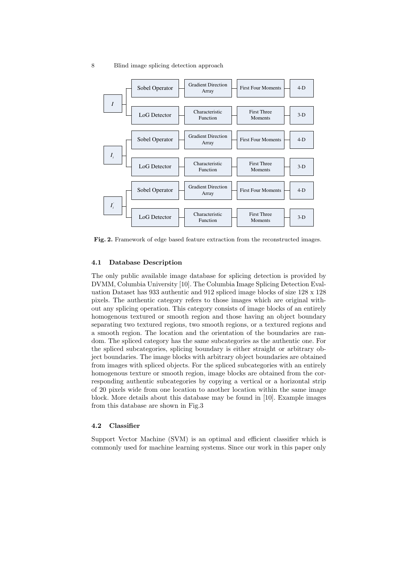

Fig. 2. Framework of edge based feature extraction from the reconstructed images.

## 4.1 Database Description

The only public available image database for splicing detection is provided by DVMM, Columbia University [10]. The Columbia Image Splicing Detection Evaluation Dataset has 933 authentic and 912 spliced image blocks of size 128 x 128 pixels. The authentic category refers to those images which are original without any splicing operation. This category consists of image blocks of an entirely homogenous textured or smooth region and those having an object boundary separating two textured regions, two smooth regions, or a textured regions and a smooth region. The location and the orientation of the boundaries are random. The spliced category has the same subcategories as the authentic one. For the spliced subcategories, splicing boundary is either straight or arbitrary object boundaries. The image blocks with arbitrary object boundaries are obtained from images with spliced objects. For the spliced subcategories with an entirely homogenous texture or smooth region, image blocks are obtained from the corresponding authentic subcategories by copying a vertical or a horizontal strip of 20 pixels wide from one location to another location within the same image block. More details about this database may be found in [10]. Example images from this database are shown in Fig.3

#### 4.2 Classifier

Support Vector Machine (SVM) is an optimal and efficient classifier which is commonly used for machine learning systems. Since our work in this paper only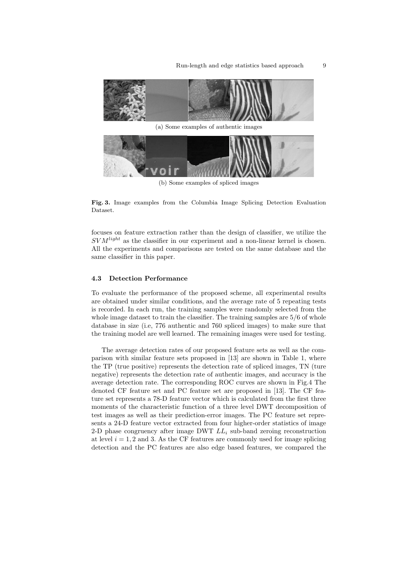

(b) Some examples of spliced images

Fig. 3. Image examples from the Columbia Image Splicing Detection Evaluation Dataset.

focuses on feature extraction rather than the design of classifier, we utilize the  $SVM<sup>light</sup>$  as the classifier in our experiment and a non-linear kernel is chosen. All the experiments and comparisons are tested on the same database and the same classifier in this paper.

#### 4.3 Detection Performance

To evaluate the performance of the proposed scheme, all experimental results are obtained under similar conditions, and the average rate of 5 repeating tests is recorded. In each run, the training samples were randomly selected from the whole image dataset to train the classifier. The training samples are  $5/6$  of whole database in size (i.e, 776 authentic and 760 spliced images) to make sure that the training model are well learned. The remaining images were used for testing.

The average detection rates of our proposed feature sets as well as the comparison with similar feature sets proposed in [13] are shown in Table 1, where the TP (true positive) represents the detection rate of spliced images, TN (ture negative) represents the detection rate of authentic images, and accuracy is the average detection rate. The corresponding ROC curves are shown in Fig.4 The denoted CF feature set and PC feature set are proposed in [13]. The CF feature set represents a 78-D feature vector which is calculated from the first three moments of the characteristic function of a three level DWT decomposition of test images as well as their prediction-error images. The PC feature set represents a 24-D feature vector extracted from four higher-order statistics of image 2-D phase congruency after image DWT  $LL_i$  sub-band zeroing reconstruction at level  $i = 1, 2$  and 3. As the CF features are commonly used for image splicing detection and the PC features are also edge based features, we compared the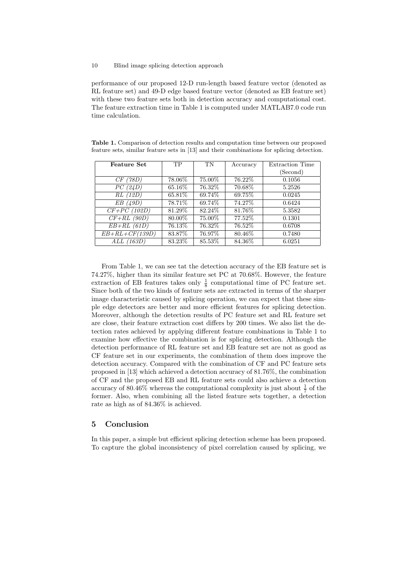performance of our proposed 12-D run-length based feature vector (denoted as RL feature set) and 49-D edge based feature vector (denoted as EB feature set) with these two feature sets both in detection accuracy and computational cost. The feature extraction time in Table 1 is computed under MATLAB7.0 code run time calculation.

Table 1. Comparison of detection results and computation time between our proposed feature sets, similar feature sets in [13] and their combinations for splicing detection.

| <b>Feature Set</b> | TP      | TN      | Accuracy | Extraction Time |
|--------------------|---------|---------|----------|-----------------|
|                    |         |         |          | (Second)        |
| CF(78D)            | 78.06%  | 75.00%  | 76.22\%  | 0.1056          |
| PC(24D)            | 65.16%  | 76.32%  | 70.68%   | 5.2526          |
| RL(12D)            | 65.81%  | 69.74%  | 69.75%   | 0.0245          |
| EB(49D)            | 78.71%  | 69.74%  | 74.27%   | 0.6424          |
| $CF+PC(102D)$      | 81.29%  | 82.24\% | 81.76%   | 5.3582          |
| $CF+RL(90D)$       | 80.00%  | 75.00%  | 77.52%   | 0.1301          |
| $EB+RL(61D)$       | 76.13%  | 76.32%  | 76.52%   | 0.6708          |
| $EB+RL+CF(139D)$   | 83.87%  | 76.97%  | 80.46\%  | 0.7480          |
| ALL(163D)          | 83.23\% | 85.53%  | 84.36\%  | 6.0251          |

From Table 1, we can see tat the detection accuracy of the EB feature set is 74.27%, higher than its similar feature set PC at 70.68%. However, the feature extraction of EB features takes only  $\frac{1}{8}$  computational time of PC feature set. Since both of the two kinds of feature sets are extracted in terms of the sharper image characteristic caused by splicing operation, we can expect that these simple edge detectors are better and more efficient features for splicing detection. Moreover, although the detection results of PC feature set and RL feature set are close, their feature extraction cost differs by 200 times. We also list the detection rates achieved by applying different feature combinations in Table 1 to examine how effective the combination is for splicing detection. Although the detection performance of RL feature set and EB feature set are not as good as CF feature set in our experiments, the combination of them does improve the detection accuracy. Compared with the combination of CF and PC feature sets proposed in [13] which achieved a detection accuracy of 81.76%, the combination of CF and the proposed EB and RL feature sets could also achieve a detection accuracy of 80.46% whereas the computational complexity is just about  $\frac{1}{7}$  of the former. Also, when combining all the listed feature sets together, a detection rate as high as of 84.36% is achieved.

# 5 Conclusion

In this paper, a simple but efficient splicing detection scheme has been proposed. To capture the global inconsistency of pixel correlation caused by splicing, we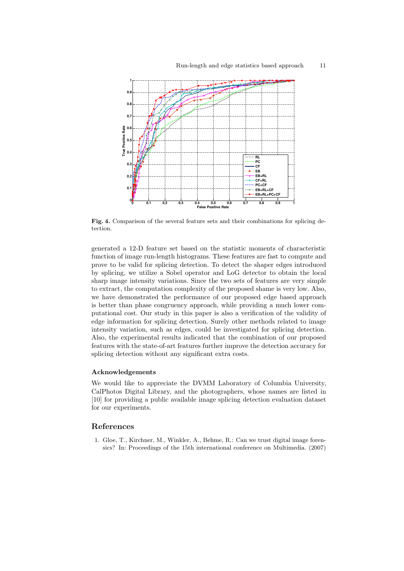

Fig. 4. Comparison of the several feature sets and their combinations for splicing detection.

generated a 12-D feature set based on the statistic moments of characteristic function of image run-length histograms. These features are fast to compute and prove to be valid for splicing detection. To detect the shaper edges introduced by splicing, we utilize a Sobel operator and LoG detector to obtain the local sharp image intensity variations. Since the two sets of features are very simple to extract, the computation complexity of the proposed shame is very low. Also, we have demonstrated the performance of our proposed edge based approach is better than phase congruency approach, while providing a much lower computational cost. Our study in this paper is also a verification of the validity of edge information for splicing detection. Surely other methods related to image intensity variation, such as edges, could be investigated for splicing detection. Also, the experimental results indicated that the combination of our proposed features with the state-of-art features further improve the detection accuracy for splicing detection without any significant extra costs.

#### Acknowledgements

We would like to appreciate the DVMM Laboratory of Columbia University, CalPhotos Digital Library, and the photographers, whose names are listed in [10] for providing a public available image splicing detection evaluation dataset for our experiments.

## References

1. Gloe, T., Kirchner, M., Winkler, A., Behme, R.: Can we trust digital image forensics? In: Proceedings of the 15th international conference on Multimedia. (2007)